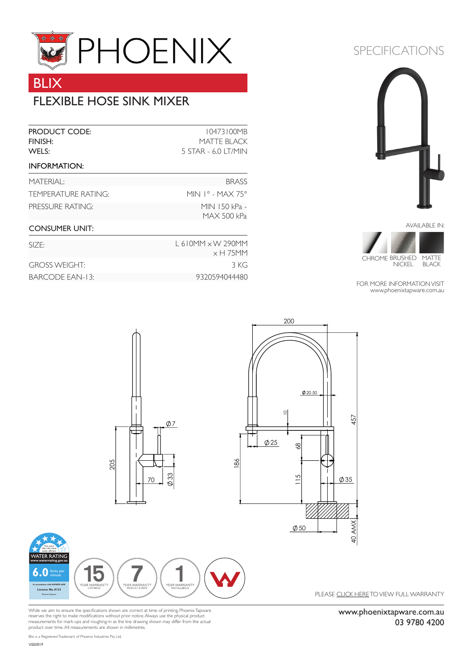

## BLIX

## FLEXIBLE HOSE SINK MIXER

| <b>PRODUCT CODE:</b><br>FINISH:<br>WELS: | 10473100MB<br><b>MATTE BLACK</b><br>5 STAR - 6.0 LT/MIN                                 |
|------------------------------------------|-----------------------------------------------------------------------------------------|
| <b>INFORMATION:</b>                      |                                                                                         |
| MATFRIAI:                                | <b>BRASS</b>                                                                            |
| TEMPERATURE RATING:                      | MIN $1^{\circ}$ - MAX 75 $^{\circ}$                                                     |
| PRESSURE RATING:                         | MIN 150 kPa -<br><b>MAX 500 kPa</b>                                                     |
| <b>CONSUMER UNIT:</b>                    |                                                                                         |
| SIZF:                                    | $L$ 610MM $\times$ W 290MM<br>$\ldots$ $\vdash$ $\top$ $\Gamma$ $\land$ $\land$ $\land$ |

|                      | $\times$ H 75MM |
|----------------------|-----------------|
| <b>GROSS WEIGHT:</b> | 3 KG            |
| BARCODE EAN-13:      | 9320594044480   |

# SPECIFICATIONS





FOR MORE INFORMATION VISIT www.phoenixtapware.com.au



While we aim to ensure the specifications shown are correct at time of printing, Phoenix Tapware<br>reserves the right to make modifications without prior notice. Always use the physical product<br>measurements for mark-ups and product over time. All measurements are shown in millimetres.

www.phoenixtapware.com.au 03 9780 4200